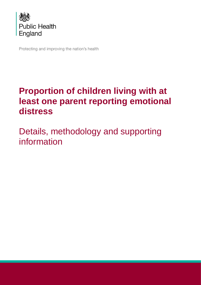

Protecting and improving the nation's health

# **Proportion of children living with at least one parent reporting emotional distress**

Details, methodology and supporting information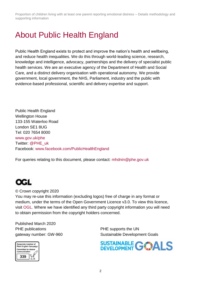# About Public Health England

Public Health England exists to protect and improve the nation's health and wellbeing, and reduce health inequalities. We do this through world-leading science, research, knowledge and intelligence, advocacy, partnerships and the delivery of specialist public health services. We are an executive agency of the Department of Health and Social Care, and a distinct delivery organisation with operational autonomy. We provide government, local government, the NHS, Parliament, industry and the public with evidence-based professional, scientific and delivery expertise and support.

Public Health England Wellington House 133-155 Waterloo Road London SE1 8UG Tel: 020 7654 8000 [www.gov.uk/phe](http://www.gov.uk/phe) Twitter: [@PHE\\_uk](https://twitter.com/PHE_uk) Facebook: [www.facebook.com/PublicHealthEngland](http://www.facebook.com/PublicHealthEngland)

For queries relating to this document, please contact: mhdnin@phe.gov.uk



© Crown copyright 2020

You may re-use this information (excluding logos) free of charge in any format or medium, under the terms of the Open Government Licence v3.0. To view this licence, visit [OGL.](https://www.nationalarchives.gov.uk/doc/open-government-licence/version/3/) Where we have identified any third party copyright information you will need to obtain permission from the copyright holders concerned.

Published March 2020 PHE publications **PHE** supports the UN



gateway number: GW-960 Sustainable Development Goals

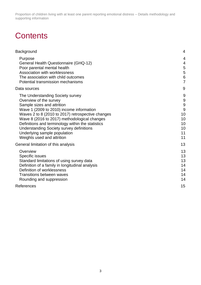# **Contents**

| Background                                                                                                                                                                                                                                                                                                                                                                                                      | 4                                                    |
|-----------------------------------------------------------------------------------------------------------------------------------------------------------------------------------------------------------------------------------------------------------------------------------------------------------------------------------------------------------------------------------------------------------------|------------------------------------------------------|
| Purpose<br>General Health Questionnaire (GHQ-12)<br>Poor parental mental health<br>Association with worklessness<br>The association with child outcomes<br>Potential transmission mechanisms                                                                                                                                                                                                                    | 4<br>4<br>5<br>5<br>6<br>$\overline{7}$              |
| Data sources                                                                                                                                                                                                                                                                                                                                                                                                    | 9                                                    |
| The Understanding Society survey<br>Overview of the survey<br>Sample sizes and attrition<br>Wave 1 (2009 to 2010) income information<br>Waves 2 to 8 (2010 to 2017) retrospective changes<br>Wave 8 (2016 to 2017) methodological changes<br>Definitions and terminology within the statistics<br><b>Understanding Society survey definitions</b><br>Underlying sample population<br>Weights used and attrition | 9<br>9<br>9<br>9<br>10<br>10<br>10<br>10<br>11<br>11 |
| General limitation of this analysis                                                                                                                                                                                                                                                                                                                                                                             | 13                                                   |
| Overview<br>Specific issues<br>Standard limitations of using survey data<br>Definition of a family in longitudinal analysis<br>Definition of worklessness<br><b>Transitions between waves</b><br>Rounding and suppression                                                                                                                                                                                       | 13<br>13<br>13<br>14<br>14<br>14<br>14               |
| References                                                                                                                                                                                                                                                                                                                                                                                                      | 15                                                   |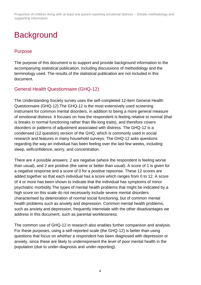# <span id="page-3-0"></span>**Background**

# <span id="page-3-1"></span>Purpose

The purpose of this document is to support and provide background information to the accompanying statistical publication, including discussions of methodology and the terminology used. The results of the statistical publication are not included in this document.

## <span id="page-3-2"></span>General Health Questionnaire (GHQ-12)

The Understanding Society survey uses the self-completed 12-item General Health Questionnaire (GHQ-12).The GHQ-12 is the most extensively used screening instrument for common mental disorders, in addition to being a more general measure of emotional distress. It focuses on how the respondent is feeling relative to normal (that is breaks in normal functioning rather than life-long traits), and therefore covers disorders or patterns of adjustment associated with distress. The GHQ-12 is a condensed (12 question) version of the GHQ, which is commonly used in social research and features in many household surveys. The GHQ-12 asks questions regarding the way an individual has been feeling over the last few weeks, including sleep, selfconfidence, worry, and concentration.

There are 4 possible answers: 2 are negative (where the respondent is feeling worse than usual), and 2 are positive (the same or better than usual). A score of 1 is given for a negative response and a score of 0 for a positive repsonse. These 12 scores are added together so that each individual has a score which ranges from 0 to 12. A score of 4 or more has been shown to indicate that the individual has symptoms of minor psychiatric morbidity.The types of mental health problems that might be indicated by a high score on this scale do not necessarily include severe mental disorders characterised by deterioration of normal social functioning, but of common mental health problems such as anxiety and depression. Common mental health problems, such as anxiety and depression, frequently interrelate with the other disadvantages we address in this document, such as parental worklessness.

The common use of GHQ-12 in research also enables further comparison and analysis. For these purposes, using a self-reported scale (the GHQ-12) is better than using questions that focus on whether a respondent has been diagnosed with depression or anxiety, since these are likely to underrepresent the level of poor mental health in the population (due to under-diagnosis and under-reporting).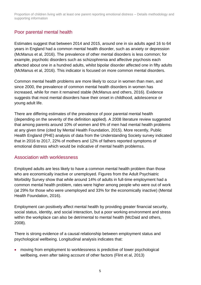# <span id="page-4-0"></span>Poor parental mental health

Estimates suggest that between 2014 and 2015, around one in six adults aged 16 to 64 years in England had a common mental health disorder, such as anxiety or depression (McManus et al, 2016). The prevalence of other mental disorders is less common; for example, psychotic disorders such as schizophrenia and affective psychosis each affected about one in a hundred adults, whilst bipolar disorder affected one in fifty adults (McManus et al, 2016). This indicator is focused on more common mental disorders.

Common mental health problems are more likely to occur in women than men, and since 2000, the prevalence of common mental health disorders in women has increased, while for men it remained stable (McManus and others, 2016). Evidence suggests that most mental disorders have their onset in childhood, adolescence or young adult life.

There are differing estimates of the prevalence of poor parental mental health (depending on the severity of the definition applied). A 2008 literature review suggested that among parents around 10% of women and 6% of men had mental health problems at any given time (cited by Mental Health Foundation, 2015). More recently, Public Health England (PHE) analysis of data from the Understanding Society survey indicated that in 2016 to 2017, 22% of mothers and 12% of fathers reported symptoms of emotional distress which would be indicative of mental health problemss.

### <span id="page-4-1"></span>Association with worklessness

Employed adults are less likely to have a common mental health problem than those who are economically inactive or unemployed. Figures from the Adult Psychiatric Morbidity Survey show that while around 14% of adults in full-time employment had a common mental health problem, rates were higher among people who were out of work (at 29% for those who were unemployed and 33% for the economically inactive) (Mental Health Foundation, 2016).

Employment can positively affect mental health by providing greater financial security, social status, identity, and social interaction, but a poor working environment and stress within the workplace can also be detrimental to mental health (McDaid and others, 2008).

There is strong evidence of a causal relationship between employment status and psychological wellbeing. Longitudinal analysis indicates that:

• moving from employment to worklessness is predictive of lower psychological wellbeing, even after taking account of other factors (Flint et al, 2013)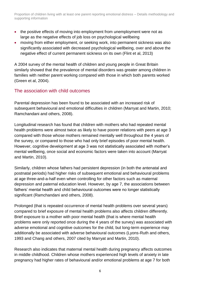- the positive effects of moving into employment from unemployment were not as large as the negative effects of job loss on psychological wellbeing
- moving from either employment, or seeking work, into permanent sickness was also significantly associated with decreased psychological wellbeing, over and above the negative effect of current permanent sickness on its own (Flint et al, 2013)

A 2004 survey of the mental health of children and young people in Great Britain similarly showed that the prevalence of mental disorders was greater among children in families with neither parent working compared with those in which both parents worked (Green et al, 2004).

## <span id="page-5-0"></span>The association with child outcomes

Parental depression has been found to be associated with an increased risk of subsequent behavioural and emotional difficulties in children (Marryat and Martin, 2010; Ramchandani and others, 2008).

Longitudinal research has found that children with mothers who had repeated mental health problems were almost twice as likely to have poorer relations with peers at age 3 compared with those whose mothers remained mentally well throughout the 4 years of the survey, or compared to those who had only brief episodes of poor mental health. However, cognitive development at age 3 was not statistically associated with mother's mental wellbeing, once social and economic factors were taken into account (Marryat and Martin, 2010).

Similarly, children whose fathers had persistent depression (in both the antenatal and postnatal periods) had higher risks of subsequent emotional and behavioural problems at age three-and-a-half even when controlling for other factors such as maternal depression and paternal education level. However, by age 7, the associations between fathers' mental health and child behavioural outcomes were no longer statistically significant (Ramchandani and others, 2008).

Prolonged (that is repeated occurrence of mental health problems over several years) compared to brief exposure of mental health problems also affects children differently. Brief exposure to a mother with poor mental health (that is where mental health problems were only reported once during the 4 years of the survey) was associated with adverse emotional and cognitive outcomes for the child, but long-term experience may additionally be associated with adverse behavioural outcomes (Lyons-Ruth and others, 1993 and Chang and others, 2007 cited by Marryat and Martin, 2010).

Research also indicates that maternal mental health during pregnancy affects outcomes in middle childhood. Children whose mothers experienced high levels of anxiety in late pregnancy had higher rates of behavioural and/or emotional problems at age 7 for both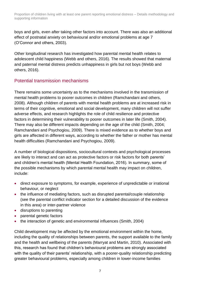boys and girls, even after taking other factors into account. There was also an additional effect of postnatal anxiety on behavioural and/or emotional problems at age 7 (O'Connor and others, 2003).

Other longitudinal research has investigated how parental mental health relates to adolescent child happiness (Webb and others, 2016). The results showed that maternal and paternal mental distress predicts unhappiness in girls but not boys (Webb and others, 2016).

## <span id="page-6-0"></span>Potential transmission mechanisms

There remains some uncertainty as to the mechanisms involved in the transmission of mental health problems to poorer outcomes in children (Ramchandani and others, 2008). Although children of parents with mental health problems are at increased risk in terms of their cognitive, emotional and social development, many children will not suffer adverse effects, and research highlights the role of child resilience and protective factors in determining their vulnerability to poorer outcomes in later life (Smith, 2004). There may also be different impacts depending on the age of the child (Smith, 2004; Ramchandani and Psychogiou, 2009). There is mixed evidence as to whether boys and girls are affected in different ways, according to whether the father or mother has mental health difficulties (Ramchandani and Psychogiou, 2009).

A number of biological dispositions, sociocultural contexts and psychological processes are likely to interact and can act as protective factors or risk factors for both parents' and children's mental health (Mental Health Foundation, 2016). In summary, some of the possible mechanisms by which parental mental health may impact on children, include:

- direct exposure to symptoms, for example, experience of unpredictable or irrational behaviour, or neglect
- the influence of mediating factors, such as disrupted parental/couple relationship (see the parental conflict indicator section for a detailed discussion of the evidence in this area) or inter-partner violence
- disruptions to parenting
- parental genetic factors
- the interaction of genetic and environmental influences (Smith, 2004)

Child development may be affected by the emotional environment within the home, including the quality of relationships between parents, the support available to the family and the health and wellbeing of the parents (Marryat and Martin, 2010). Associated with this, research has found that children's behavioural problems are strongly associated with the quality of their parents' relationship, with a poorer-quality relationship predicting greater behavioural problems, especially among children in lower-income families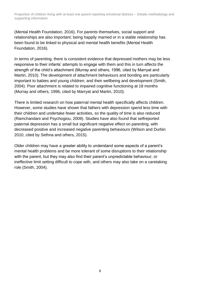(Mental Health Foundation, 2016). For parents themselves, social support and relationships are also important; being happily married or in a stable relationship has been found to be linked to physical and mental health benefits (Mental Health Foundation, 2016).

In terms of parenting, there is consistent evidence that depressed mothers may be less responsive to their infants' attempts to engage with them and this in turn affects the strength of the child's attachment (Murray and others, 1996, cited by Marryat and Martin, 2010). The development of attachment behaviours and bonding are particularly important to babies and young children, and their wellbeing and development (Smith, 2004). Poor attachment is related to impaired cognitive functioning at 18 months (Murray and others, 1996, cited by Marryat and Martin, 2010).

There is limited research on how paternal mental health specifically affects children. However, some studies have shown that fathers with depression spend less time with their children and undertake fewer activities, so the quality of time is also reduced (Ramchandani and Psychogiou, 2009). Studies have also found that selfreported paternal depression has a small but significant negative effect on parenting, with decreased positive and increased negative parenting behaviours (Wilson and Durbin 2010, cited by Sethna and others, 2015).

Older children may have a greater ability to understand some aspects of a parent's mental health problems and be more tolerant of some disruptions to their relationship with the parent, but they may also find their parent's unpredictable behaviour, or ineffective limit setting difficult to cope with, and others may also take on a caretaking role (Smith, 2004).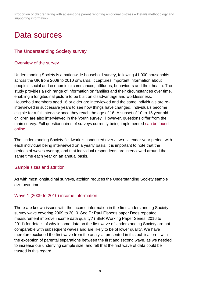# <span id="page-8-0"></span>Data sources

## <span id="page-8-1"></span>The Understanding Society survey

#### <span id="page-8-2"></span>Overview of the survey

Understanding Society is a nationwide household survey, following 41,000 households across the UK from 2009 to 2010 onwards. It captures important information about people's social and economic circumstances, attitudes, behaviours and their health. The study provides a rich range of information on families and their circumstances over time, enabling a longitudinal picture to be built on disadvantage and worklessness. Household members aged 16 or older are interviewed and the same individuals are reinterviewed in successive years to see how things have changed. Individuals become eligible for a full interview once they reach the age of 16. A subset of 10 to 15 year old children are also interviewed in the 'youth survey'. However, questions differ from the main survey. Full questionnaires of surveys currently being implemented [can be found](https://www.understandingsociety.ac.uk/documentation/mainstage/questionnaires)  [online.](https://www.understandingsociety.ac.uk/documentation/mainstage/questionnaires)

The Understanding Society fieldwork is conducted over a two-calendar-year period, with each individual being interviewed on a yearly basis. It is important to note that the periods of waves overlap, and that individual respondents are interviewed around the same time each year on an annual basis.

#### <span id="page-8-3"></span>Sample sizes and attrition

As with most longitudinal surveys, attrition reduces the Understanding Society sample size over time.

#### <span id="page-8-4"></span>Wave 1 (2009 to 2010) income information

There are known issues with the income information in the first Understanding Society survey wave covering 2009 to 2010. See Dr Paul Fisher's paper Does repeated measurement improve income data quality? (ISER Working Paper Series, 2016 to 2011) for details of why income data on the first wave of Understanding Society are not comparable with subsequent waves and are likely to be of lower quality. We have therefore excluded the first wave from the analysis presented in this publication – with the exception of parental separations between the first and second wave, as we needed to increase our underlying sample size, and felt that the first wave of data could be trusted in this regard.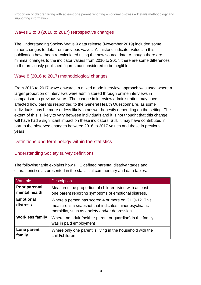## <span id="page-9-0"></span>Waves 2 to 8 (2010 to 2017) retrospective changes

The Understanding Society Wave 9 data release (November 2019) included some minor changes to data from previous waves. All historic indicator values in this publication have been re-calculated using the new source data. Although there are minimal changes to the indicator values from 2010 to 2017, there are some differences to the previously published figures but considered to be neglible.

### <span id="page-9-1"></span>Wave 8 (2016 to 2017) methodological changes

From 2016 to 2017 wave onwards, a mixed mode interview approach was used where a larger proportion of interviews were administered through online interviews in comparison to previous years. The change in interview administration may have affected how parents responded to the General Health Questionnaire, as some individuals may be more or less likely to answer honestly depending on the setting. The extent of this is likely to vary between individuals and it is not thought that this change will have had a significant impact on these indicators. Still, it may have contributed in part to the observed changes between 2016 to 2017 values and those in previous years.

## <span id="page-9-2"></span>Definitions and terminology within the statistics

### <span id="page-9-3"></span>Understanding Society survey definitions

The following table explains how PHE defined parental disadvantages and characteristics as presented in the statistical commentary and data tables.

| Variable                       | <b>Description</b>                                                                                                                                             |
|--------------------------------|----------------------------------------------------------------------------------------------------------------------------------------------------------------|
| Poor parental<br>mental health | Measures the proportion of children living with at least<br>one parent reporting symptoms of emotional distress.                                               |
| <b>Emotional</b><br>distress   | Where a person has scored 4 or more on GHQ-12. This<br>measure is a snapshot that indicates minor psychiatric<br>morbidity, such as anxiety and/or depression. |
| <b>Workless family</b>         | Where no adult (neither parent or guardian) in the family<br>was in paid employment                                                                            |
| Lone parent<br>family          | Where only one parent is living in the household with the<br>child/children                                                                                    |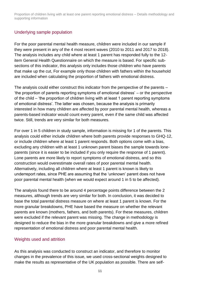### <span id="page-10-0"></span>Underlying sample population

For the poor parental mental health measure, children were included in our sample if they were present in any of the 4 most recent waves (2010 to 2011 and 2017 to 2018). The analysis includes any child where at least 1 parent has responded fully to the 12 item General Health Questionnaire on which the measure is based. For specific subsections of this indicator, this analysis only includes those children who have parents that make up the cut, For example only those children with fathers within the household are included when calculating the proportion of fathers with emotional distress.

The analysis could either construct this indicator from the perspective of the parents – 'the proportion of parents reporting symptoms of emotional distress' – or the perspective of the child – 'the proportion of children living with at least 1 parent reporting symptoms of emotional distress'. The latter was chosen, because the analysis is primarily interested in how many children are affected by poor parental mental health, whereas a parents-based indicator would count every parent, even if the same child was affected twice. Still, trends are very similar for both measures.

For over 1 in 5 children in study sample, information is missing for 1 of the parents. This analysis could either include children where both parents provide responses to GHQ-12, or include children where at least 1 parent responds. Both options come with a bias, excluding any children with at least 1 unknown parent biases the sample towards loneparents (since it is easier to be included if you only require the response of 1 parent). Lone parents are more likely to report symptoms of emotional distress, and so this construction would overestimate overall rates of poor parental mental health. Alternatively, including all children where at least 1 parent is known is likely to underreport rates, since PHE are assuming that the 'unknown' parent does not have poor parental mental health (when we would expect around 1 in 5 to be affected).

The analysis found there to be around 4 percentage points difference between the 2 measures, although trends are very similar for both. In conclusion, it was decided to base the total parental distress measure on where at least 1 parent is known. For the more granular breakdowns, PHE have based the measure on whether the relevant parents are known (mothers, fathers, and both parents). For these measures, children were excluded if the relevant parent was missing. The change in methodology is designed to reduce the bias in the more granular breakdowns and give a more refined representation of emotional distress and poor parental mental health.

#### <span id="page-10-1"></span>Weights used and attrition

As this analysis was conducted to construct an indicator, and therefore to monitor changes in the prevalence of this issue, we used cross-sectional weights designed to make the results as representative of the UK population as possible. There are self-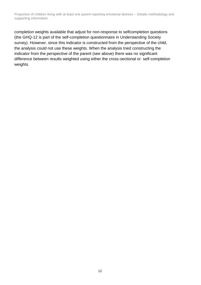completion weights available that adjust for non-response to selfcompletion questions (the GHQ-12 is part of the self-completion questionnaire in Understanding Society survey). However, since this indicator is constructed from the perspective of the child, the analysis could not use these weights. When the analysis tried constructing the indicator from the perspective of the parent (see above) there was no significant difference between results weighted using either the cross-sectional or self-completion weights.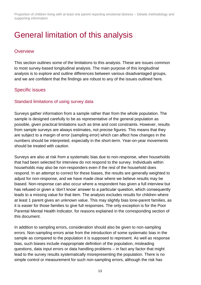# <span id="page-12-0"></span>General limitation of this analysis

### <span id="page-12-1"></span>**Overview**

This section outlines some of the limitations to this analysis. These are issues common to most survey-based longitudinal analysis. The main purpose of this longitudinal analysis is to explore and outline differences between various disadvantaged groups, and we are confident that the findings are robust to any of the issues outlined here.

## <span id="page-12-2"></span>Specific issues

### <span id="page-12-3"></span>Standard limitations of using survey data

Surveys gather information from a sample rather than from the whole population. The sample is designed carefully to be as representative of the general population as possible, given practical limitations such as time and cost constraints. However, results from sample surveys are always estimates, not precise figures. This means that they are subject to a margin of error (sampling error) which can affect how changes in the numbers should be interpreted, especially in the short-term. Year-on-year movements should be treated with caution.

Surveys are also at risk from a systematic bias due to non-response, when households that had been selected for interview do not respond to the survey. Individuals within households may also be non-responders even if the rest of the household does respond. In an attempt to correct for these biases, the results are generally weighted to adjust for non-response, and we have made clear where we believe results may be biased. Non-response can also occur where a respondent has given a full interview but has refused or given a 'don't know' answer to a particular question, which consequently leads to a missing value for that item. The analysis excludes results for children where at least 1 parent gives an unknown value. This may slightly bias lone-parent families, as it is easier for those families to give full responses. The only exception is for the Poor Parental Mental Health Indicator, for reasons explained in the corresponding section of this document.

In addition to sampling errors, consideration should also be given to non-sampling errors. Non-sampling errors arise from the introduction of some systematic bias in the sample as compared to the population it is supposed to represent. As well as response bias, such biases include inappropriate definition of the population, misleading questions, data input errors or data handling problems – in fact any factor that might lead to the survey results systematically misrepresenting the population. There is no simple control or measurement for such non-sampling errors, although the risk has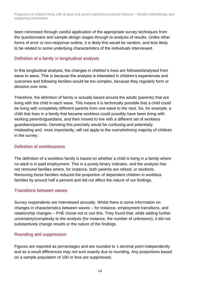been minimised through careful application of the appropriate survey techniques from the questionnaire and sample design stages through to analysis of results. Unlike other forms of error or non-response outline, it is likely this would be random, and less likely to be related to some underlying characteristics of the individuals interviewed.

### <span id="page-13-0"></span>Definition of a family in longitudinal analysis

In this longitudinal analysis, the changes in children's lives are followed/analysed from wave to wave. This is because the analysis is interested in children's experiences and outcomes and following families would be too complex, because they regularly form or dissolve over time.

Therefore, the definition of family is actually based around the adults (parents) that are living with the child in each wave. This means it is technically possible that a child could be living with completely different parents from one wave to the next. So, for example, a child that lives in a family that became workless could possibly have been living with working parents/guardians, and then moved to live with a different set of workless guardians/parents. Denoting this precisely would be confusing and potentially misleading and, more importantly, will not apply to the overwhelming majority of children in the survey.

#### <span id="page-13-1"></span>Definition of worklessness

The definition of a workless family is based on whether a child is living in a family where no adult is in paid employment. This is a purely binary indicator, and the analysis has not removed families where, for instance, both parents are retired, or students. Removing these families reduced the proportion of dependent children in workless families by around half a percent and did not affect the nature of our findings.

#### <span id="page-13-2"></span>Transitions between waves

Survey respondents are interviewed annually. Whilst there is some information on changes in characteristics between waves – for instance, employment transitions, and relationship changes – PHE chose not to use this. They found that, while adding further uncertainty/complexity to the analysis (for instance, the number of unknowns), it did not substantively change results or the nature of the findings.

#### <span id="page-13-3"></span>Rounding and suppression

Figures are reported as percentages and are rounded to 1 decimal point independently and as a result differences may not sum exactly due to rounding. Any proportions based on a sample population of 100 or less are suppressed.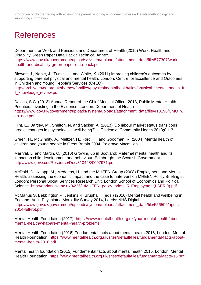# <span id="page-14-0"></span>References

Department for Work and Pensions and Department of Health (2016) Work, Health and Disability Green Paper Data Pack : Technical Annex. [https://www.gov.uk/government/uploads/system/uploads/attachment\\_data/file/577307/work](https://www.gov.uk/government/uploads/system/uploads/attachment_data/file/577307/work-health-and-disability-green-paper-data-pack.pdf)[health-and-disability-green-paper-data-pack.pdf](https://www.gov.uk/government/uploads/system/uploads/attachment_data/file/577307/work-health-and-disability-green-paper-data-pack.pdf)

Blewett, J., Noble, J., Tunstill, J. and White, K. (2011) Improving children's outcomes by supporting parental physical and mental health, London: Centre for Excellence and Outcomes in Children and Young People's Services (C4EO). [http://archive.c4eo.org.uk/themes/families/physicalmentalhealth/files/physical\\_mental\\_health\\_fu](http://archive.c4eo.org.uk/themes/families/physicalmentalhealth/files/physical_mental_health_full_knowledge_review.pdf) [ll\\_knowledge\\_review.pdf](http://archive.c4eo.org.uk/themes/families/physicalmentalhealth/files/physical_mental_health_full_knowledge_review.pdf)

Davies, S.C. (2013) Annual Report of the Chief Medical Officer 2013, Public Mental Health Priorities: Investing in the Evidence, London: Department of Health [https://www.gov.uk/government/uploads/system/uploads/attachment\\_data/file/413196/CMO\\_w](https://www.gov.uk/government/uploads/system/uploads/attachment_data/file/413196/CMO_web_doc.pdf) [eb\\_doc.pdf](https://www.gov.uk/government/uploads/system/uploads/attachment_data/file/413196/CMO_web_doc.pdf)

Flint, E., Bartley, M., Shelton, N. and Sacker, A. (2013) 'Do labour market status transitions predict changes in psychological well-being?', J Epidemiol Community Health 2013;0:1-7.

Green, H., McGinnity, A., Meltzer, H., Ford, T., and Goodman, R. (2004) Mental health of children and young people in Great Britain 2004, Palgrave Macmillan.

Marryat, L. and Martin, C. (2010) Growing up in Scotland: Maternal mental health and its impact on child development and behaviour, Edinburgh: the Scottish Government. <http://www.gov.scot/Resource/Doc/310448/0097971.pdf>

McDaid, D., Knapp, M., Medeiros, H. and the MHEEN Group (2008) Employment and Mental Health: assessing the economic impact and the case for intervention MHEEN Policy Briefing 5, London: Personal Social Services Research Unit, London School of Economics and Political Science. [http://eprints.lse.ac.uk/4236/1/MHEEN\\_policy\\_briefs\\_5\\_Employment\(LSERO\).pdf](http://eprints.lse.ac.uk/4236/1/MHEEN_policy_briefs_5_Employment(LSERO).pdf)

McManus S, Bebbington P, Jenkins R, Brugha T. (eds.) (2016) Mental health and wellbeing in England: Adult Psychiatric Morbidity Survey 2014, Leeds: NHS Digital. [https://www.gov.uk/government/uploads/system/uploads/attachment\\_data/file/556596/apms-](https://www.gov.uk/government/uploads/system/uploads/attachment_data/file/556596/apms-2014-full-rpt.pdf)[2014-full-rpt.pdf](https://www.gov.uk/government/uploads/system/uploads/attachment_data/file/556596/apms-2014-full-rpt.pdf)

Mental Health Foundation (2017). [https://www.mentalhealth.org.uk/your-mental-health/about](https://www.mentalhealth.org.uk/your-mental-health/about-mental-health/what-are-mental-health-problems)[mental-health/what-are-mental-health-problems](https://www.mentalhealth.org.uk/your-mental-health/about-mental-health/what-are-mental-health-problems)

Mental Health Foundation (2016) Fundamental facts about mental health 2016, London: Mental Health Foundation. [https://www.mentalhealth.org.uk/sites/default/files/fundamental-facts-about](https://www.mentalhealth.org.uk/sites/default/files/fundamental-facts-about-mental-health-2016.pdf)[mental-health-2016.pdf](https://www.mentalhealth.org.uk/sites/default/files/fundamental-facts-about-mental-health-2016.pdf)

Mental health foundation (2015) Fundamental facts about mental health 2015, London: Mental Health Foundation.<https://www.mentalhealth.org.uk/sites/default/files/fundamental-facts-15.pdf>